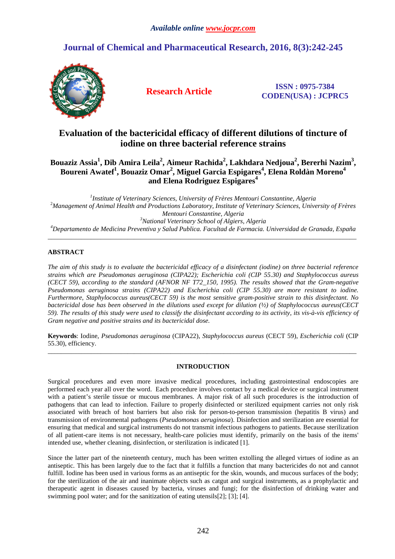# **Journal of Chemical and Pharmaceutical Research, 2016, 8(3):242-245**



**Research Article ISSN : 0975-7384 CODEN(USA) : JCPRC5**

## **Evaluation of the bactericidal efficacy of different dilutions of tincture of iodine on three bacterial reference strains**

## **Bouaziz Assia<sup>1</sup> , Dib Amira Leila<sup>2</sup> , Aimeur Rachida<sup>2</sup> , Lakhdara Nedjoua<sup>2</sup> , Bererhi Nazim<sup>3</sup> , Boureni Awatef<sup>1</sup> , Bouaziz Omar<sup>2</sup> , Miguel Garcia Espigares<sup>4</sup> , Elena Roldàn Moreno<sup>4</sup> and Elena Rodriguez Espigares<sup>4</sup>**

 *Institute of Veterinary Sciences, University of Frères Mentouri Constantine, Algeria Management of Animal Health and Productions Laboratory, Institute of Veterinary Sciences, University of Frères Mentouri Constantine, Algeria National Veterinary School of Algiers, Algeria Departamento de Medicina Preventiva y Salud Publica. Facultad de Farmacia. Universidad de Granada, España*

\_\_\_\_\_\_\_\_\_\_\_\_\_\_\_\_\_\_\_\_\_\_\_\_\_\_\_\_\_\_\_\_\_\_\_\_\_\_\_\_\_\_\_\_\_\_\_\_\_\_\_\_\_\_\_\_\_\_\_\_\_\_\_\_\_\_\_\_\_\_\_\_\_\_\_\_\_\_\_\_\_\_\_\_\_\_\_\_\_\_\_\_\_

## **ABSTRACT**

*The aim of this study is to evaluate the bactericidal efficacy of a disinfectant (iodine) on three bacterial reference strains which are Pseudomonas aeruginosa (CIPA22); Escherichia coli (CIP 55.30) and Staphylococcus aureus (CECT 59), according to the standard (AFNOR NF T72\_150, 1995). The results showed that the Gram-negative Pseudomonas aeruginosa strains (CIPA22) and Escherichia coli (CIP 55.30) are more resistant to iodine. Furthermore, Staphylococcus aureus(CECT 59) is the most sensitive gram-positive strain to this disinfectant. No bactericidal dose has been observed in the dilutions used except for dilution (½) of Staphylococcus aureus(CECT 59). The results of this study were used to classify the disinfectant according to its activity, its vis-à-vis efficiency of Gram negative and positive strains and its bactericidal dose.* 

**Keywords**: Iodine, *Pseudomonas aeruginosa* (CIPA22), *Staphylococcus aureus* (CECT 59), *Escherichia coli* (CIP 55.30), efficiency. \_\_\_\_\_\_\_\_\_\_\_\_\_\_\_\_\_\_\_\_\_\_\_\_\_\_\_\_\_\_\_\_\_\_\_\_\_\_\_\_\_\_\_\_\_\_\_\_\_\_\_\_\_\_\_\_\_\_\_\_\_\_\_\_\_\_\_\_\_\_\_\_\_\_\_\_\_\_\_\_\_\_\_\_\_\_\_\_\_\_\_\_\_

## **INTRODUCTION**

Surgical procedures and even more invasive medical procedures, including gastrointestinal endoscopies are performed each year all over the word. Each procedure involves contact by a medical device or surgical instrument with a patient's sterile tissue or mucous membranes. A major risk of all such procedures is the introduction of pathogens that can lead to infection. Failure to properly disinfected or sterilized equipment carries not only risk associated with breach of host barriers but also risk for person-to-person transmission (hepatitis B virus) and transmission of environmental pathogens (*Pseudomonas aeruginosa*). Disinfection and sterilization are essential for ensuring that medical and surgical instruments do not transmit infectious pathogens to patients. Because sterilization of all patient-care items is not necessary, health-care policies must identify, primarily on the basis of the items' intended use, whether cleaning, disinfection, or sterilization is indicated [1].

Since the latter part of the nineteenth century, much has been written extolling the alleged virtues of iodine as an antiseptic. This has been largely due to the fact that it fulfills a function that many bactericides do not and cannot fulfill. Iodine has been used in various forms as an antiseptic for the skin, wounds, and mucous surfaces of the body; for the sterilization of the air and inanimate objects such as catgut and surgical instruments, as a prophylactic and therapeutic agent in diseases caused by bacteria, viruses and fungi; for the disinfection of drinking water and swimming pool water; and for the sanitization of eating utensils[2]; [3]; [4].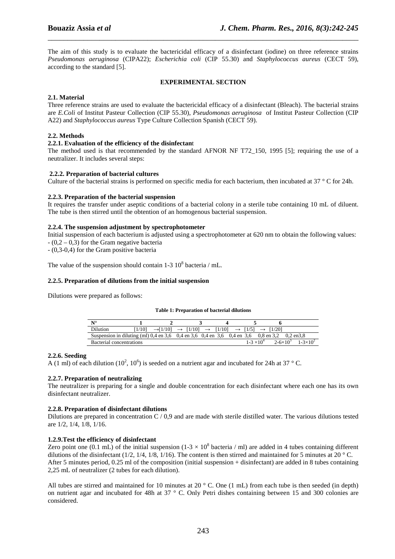The aim of this study is to evaluate the bactericidal efficacy of a disinfectant (iodine) on three reference strains *Pseudomonas aeruginosa* (CIPA22); *Escherichia coli* (CIP 55.30) and *Staphylococcus aureus* (CECT 59), according to the standard [5].

\_\_\_\_\_\_\_\_\_\_\_\_\_\_\_\_\_\_\_\_\_\_\_\_\_\_\_\_\_\_\_\_\_\_\_\_\_\_\_\_\_\_\_\_\_\_\_\_\_\_\_\_\_\_\_\_\_\_\_\_\_\_\_\_\_\_\_\_\_\_\_\_\_\_\_\_\_\_

#### **EXPERIMENTAL SECTION**

## **2.1. Material**

Three reference strains are used to evaluate the bactericidal efficacy of a disinfectant (Bleach). The bacterial strains are *E.Coli* of Institut Pasteur Collection (CIP 55.30), *Pseudomonas aeruginosa* of Institut Pasteur Collection (CIP A22) and *Staphylococcus aureus* Type Culture Collection Spanish (CECT 59).

### **2.2. Methods**

#### **2.2.1. Evaluation of the efficiency of the disinfectan**t

The method used is that recommended by the standard AFNOR NF T72\_150, 1995 [5]; requiring the use of a neutralizer. It includes several steps:

#### **2.2.2. Preparation of bacterial cultures**

Culture of the bacterial strains is performed on specific media for each bacterium, then incubated at 37 ° C for 24h.

### **2.2.3. Preparation of the bacterial suspension**

It requires the transfer under aseptic conditions of a bacterial colony in a sterile tube containing 10 mL of diluent. The tube is then stirred until the obtention of an homogenous bacterial suspension.

#### **2.2.4. The suspension adjustment by spectrophotometer**

Initial suspension of each bacterium is adjusted using a spectrophotometer at 620 nm to obtain the following values:  $- (0, 2, -0, 3)$  for the Gram negative bacteria

- (0,3-0,4) for the Gram positive bacteria

The value of the suspension should contain  $1-3$   $10^8$  bacteria / mL.

#### **2.2.5. Preparation of dilutions from the initial suspension**

Dilutions were prepared as follows:

#### **Table 1: Preparation of bacterial dilutions**

| $\mathbf{N}^{\circ}$                                                                          |        |                                                                                                         |                       |                     |                     |
|-----------------------------------------------------------------------------------------------|--------|---------------------------------------------------------------------------------------------------------|-----------------------|---------------------|---------------------|
| Dilution                                                                                      | [1/10] | $\rightarrow$ [1/10] $\rightarrow$ [1/10] $\rightarrow$ [1/10] $\rightarrow$ [1/5] $\rightarrow$ [1/20] |                       |                     |                     |
| Suspension in diluting (ml) 0,4 en 3,6 0,4 en 3,6 0,4 en 3,6 0,4 en 3,6 0,8 en 3,2 0,2 en 3,8 |        |                                                                                                         |                       |                     |                     |
| Bacterial concentrations                                                                      |        |                                                                                                         | $1 - 3 \times 10^{4}$ | $2 - 6 \times 10^3$ | $1 - 3 \times 10^2$ |

#### **2.2.6. Seeding**

A (1 ml) of each dilution (10<sup>2</sup>, 10<sup>6</sup>) is seeded on a nutrient agar and incubated for 24h at 37 °C.

#### **2.2.7. Preparation of neutralizing**

The neutralizer is preparing for a single and double concentration for each disinfectant where each one has its own disinfectant neutralizer.

#### **2.2.8. Preparation of disinfectant dilutions**

Dilutions are prepared in concentration C / 0,9 and are made with sterile distilled water. The various dilutions tested are 1/2, 1/4, 1/8, 1/16.

#### **1.2.9.Test the efficiency of disinfectant**

Zero point one (0.1 mL) of the initial suspension (1-3  $\times$  10<sup>8</sup> bacteria / ml) are added in 4 tubes containing different dilutions of the disinfectant (1/2, 1/4, 1/8, 1/16). The content is then stirred and maintained for 5 minutes at 20  $^{\circ}$  C. After 5 minutes period, 0.25 ml of the composition (initial suspension + disinfectant) are added in 8 tubes containing 2,25 mL of neutralizer (2 tubes for each dilution).

All tubes are stirred and maintained for 10 minutes at 20  $\degree$  C. One (1 mL) from each tube is then seeded (in depth) on nutrient agar and incubated for 48h at 37 ° C. Only Petri dishes containing between 15 and 300 colonies are considered.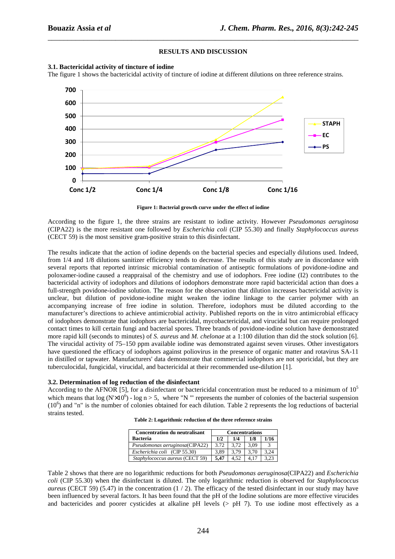## **RESULTS AND DISCUSSION**

\_\_\_\_\_\_\_\_\_\_\_\_\_\_\_\_\_\_\_\_\_\_\_\_\_\_\_\_\_\_\_\_\_\_\_\_\_\_\_\_\_\_\_\_\_\_\_\_\_\_\_\_\_\_\_\_\_\_\_\_\_\_\_\_\_\_\_\_\_\_\_\_\_\_\_\_\_\_



**Figure 1: Bacterial growth curve under the effect of iodine** 

According to the figure 1, the three strains are resistant to iodine activity. However *Pseudomonas aeruginosa* (CIPA22) is the more resistant one followed by *Escherichia coli* (CIP 55.30) and finally *Staphylococcus aureus* (CECT 59) is the most sensitive gram-positive strain to this disinfectant.

The results indicate that the action of iodine depends on the bacterial species and especially dilutions used. Indeed, from 1/4 and 1/8 dilutions sanitizer efficiency tends to decrease. The results of this study are in discordance with several reports that reported intrinsic microbial contamination of antiseptic formulations of povidone-iodine and poloxamer-iodine caused a reappraisal of the chemistry and use of iodophors. Free iodine (I2) contributes to the bactericidal activity of iodophors and dilutions of iodophors demonstrate more rapid bactericidal action than does a full-strength povidone-iodine solution. The reason for the observation that dilution increases bactericidal activity is unclear, but dilution of povidone-iodine might weaken the iodine linkage to the carrier polymer with an accompanying increase of free iodine in solution. Therefore, iodophors must be diluted according to the manufacturer's directions to achieve antimicrobial activity. Published reports on the in vitro antimicrobial efficacy of iodophors demonstrate that iodophors are bactericidal, mycobactericidal, and virucidal but can require prolonged contact times to kill certain fungi and bacterial spores. Three brands of povidone-iodine solution have demonstrated more rapid kill (seconds to minutes) of *S. aureus* and *M. chelonae* at a 1:100 dilution than did the stock solution [6]. The virucidal activity of 75–150 ppm available iodine was demonstrated against seven viruses. Other investigators have questioned the efficacy of iodophors against poliovirus in the presence of organic matter and rotavirus SA-11 in distilled or tapwater. Manufacturers' data demonstrate that commercial iodophors are not sporicidal, but they are tuberculocidal, fungicidal, virucidal, and bactericidal at their recommended use-dilution [1].

#### **3.2. Determination of log reduction of the disinfectant**

According to the AFNOR [5], for a disinfectant or bactericidal concentration must be reduced to a minimum of  $10^5$ which means that  $\log (N \times 10^6)$  -  $\log n > 5$ , where "N "' represents the number of colonies of the bacterial suspension (10<sup>6</sup>) and "n" is the number of colonies obtained for each dilution. Table 2 represents the log reductions of bacterial strains tested.

| <b>Concentration du neutralisant</b> | <b>Concentrations</b> |       |      |      |  |
|--------------------------------------|-----------------------|-------|------|------|--|
| <b>Bacteria</b>                      | 1/2                   | 1/4   | 1/8  | 1/16 |  |
| Pseudomonas aeruginosa(CIPA22)       | 3.72                  | 3.72  | 3.09 |      |  |
| Escherichia coli (CIP 55.30)         | 3.89                  | 3.79  | 3.70 | 3.24 |  |
| Staphylococcus aureus (CECT 59)      | 5.47                  | 4.52. |      |      |  |

**Table 2: Logarithmic reduction of the three reference strains** 

Table 2 shows that there are no logarithmic reductions for both *Pseudomonas aeruginosa*(CIPA22) and *Escherichia coli* (CIP 55.30) when the disinfectant is diluted. The only logarithmic reduction is observed for *Staphylococcus aureus* (CECT 59) (5.47) in the concentration (1 / 2). The efficacy of the tested disinfectant in our study may have been influenced by several factors. It has been found that the pH of the Iodine solutions are more effective virucides and bactericides and poorer cysticides at alkaline pH levels  $(>$  pH 7). To use iodine most effectively as a